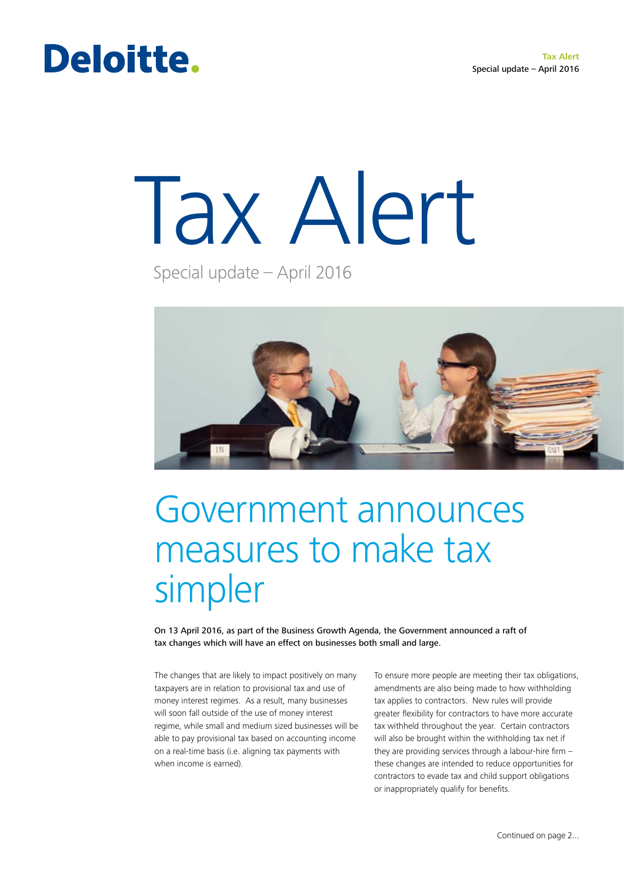# Deloitte.

# Tax Alert

Special update – April 2016



# Government announces measures to make tax simpler

On 13 April 2016, as part of the Business Growth Agenda, the Government announced a raft of tax changes which will have an effect on businesses both small and large.

The changes that are likely to impact positively on many taxpayers are in relation to provisional tax and use of money interest regimes. As a result, many businesses will soon fall outside of the use of money interest regime, while small and medium sized businesses will be able to pay provisional tax based on accounting income on a real-time basis (i.e. aligning tax payments with when income is earned).

To ensure more people are meeting their tax obligations, amendments are also being made to how withholding tax applies to contractors. New rules will provide greater flexibility for contractors to have more accurate tax withheld throughout the year. Certain contractors will also be brought within the withholding tax net if they are providing services through a labour-hire firm – these changes are intended to reduce opportunities for contractors to evade tax and child support obligations or inappropriately qualify for benefits.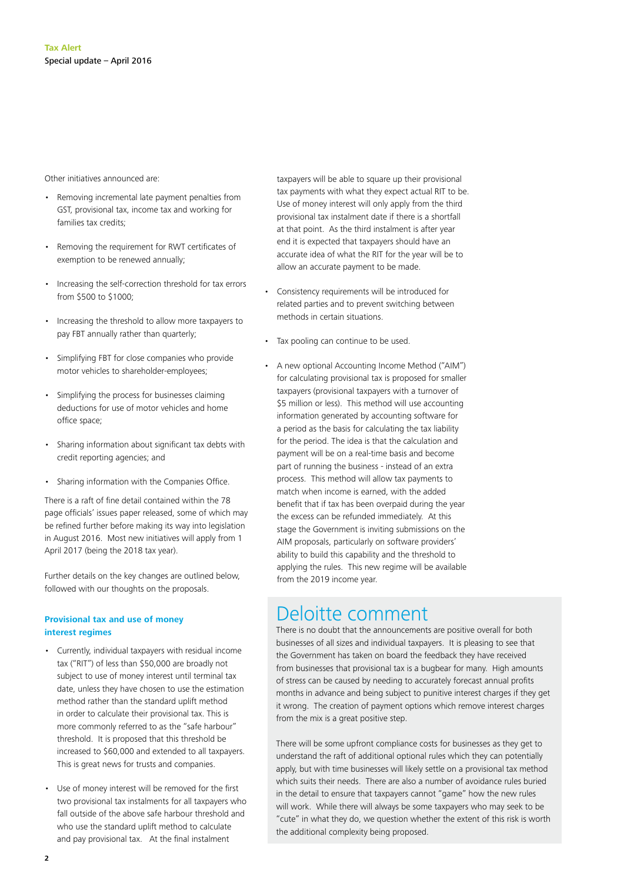Other initiatives announced are:

- Removing incremental late payment penalties from GST, provisional tax, income tax and working for families tax credits;
- Removing the requirement for RWT certificates of exemption to be renewed annually;
- Increasing the self-correction threshold for tax errors from \$500 to \$1000;
- Increasing the threshold to allow more taxpayers to pay FBT annually rather than quarterly;
- Simplifying FBT for close companies who provide motor vehicles to shareholder-employees;
- Simplifying the process for businesses claiming deductions for use of motor vehicles and home office space;
- Sharing information about significant tax debts with credit reporting agencies; and
- Sharing information with the Companies Office.

There is a raft of fine detail contained within the 78 page officials' issues paper released, some of which may be refined further before making its way into legislation in August 2016. Most new initiatives will apply from 1 April 2017 (being the 2018 tax year).

Further details on the key changes are outlined below, followed with our thoughts on the proposals.

#### **Provisional tax and use of money interest regimes**

- Currently, individual taxpayers with residual income tax ("RIT") of less than \$50,000 are broadly not subject to use of money interest until terminal tax date, unless they have chosen to use the estimation method rather than the standard uplift method in order to calculate their provisional tax. This is more commonly referred to as the "safe harbour" threshold. It is proposed that this threshold be increased to \$60,000 and extended to all taxpayers. This is great news for trusts and companies.
- Use of money interest will be removed for the first two provisional tax instalments for all taxpayers who fall outside of the above safe harbour threshold and who use the standard uplift method to calculate and pay provisional tax. At the final instalment

taxpayers will be able to square up their provisional tax payments with what they expect actual RIT to be. Use of money interest will only apply from the third provisional tax instalment date if there is a shortfall at that point. As the third instalment is after year end it is expected that taxpayers should have an accurate idea of what the RIT for the year will be to allow an accurate payment to be made.

- Consistency requirements will be introduced for related parties and to prevent switching between methods in certain situations.
- Tax pooling can continue to be used.
- A new optional Accounting Income Method ("AIM") for calculating provisional tax is proposed for smaller taxpayers (provisional taxpayers with a turnover of \$5 million or less). This method will use accounting information generated by accounting software for a period as the basis for calculating the tax liability for the period. The idea is that the calculation and payment will be on a real-time basis and become part of running the business - instead of an extra process. This method will allow tax payments to match when income is earned, with the added benefit that if tax has been overpaid during the year the excess can be refunded immediately. At this stage the Government is inviting submissions on the AIM proposals, particularly on software providers' ability to build this capability and the threshold to applying the rules. This new regime will be available from the 2019 income year.

## Deloitte comment

There is no doubt that the announcements are positive overall for both businesses of all sizes and individual taxpayers. It is pleasing to see that the Government has taken on board the feedback they have received from businesses that provisional tax is a bugbear for many. High amounts of stress can be caused by needing to accurately forecast annual profits months in advance and being subject to punitive interest charges if they get it wrong. The creation of payment options which remove interest charges from the mix is a great positive step.

There will be some upfront compliance costs for businesses as they get to understand the raft of additional optional rules which they can potentially apply, but with time businesses will likely settle on a provisional tax method which suits their needs. There are also a number of avoidance rules buried in the detail to ensure that taxpayers cannot "game" how the new rules will work. While there will always be some taxpayers who may seek to be "cute" in what they do, we question whether the extent of this risk is worth the additional complexity being proposed.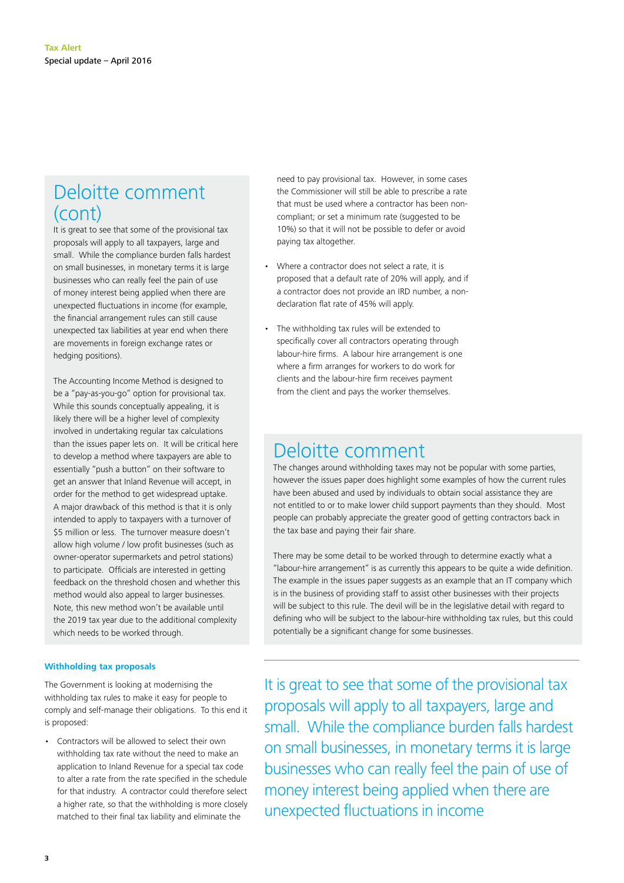## Deloitte comment (cont)

It is great to see that some of the provisional tax proposals will apply to all taxpayers, large and small. While the compliance burden falls hardest on small businesses, in monetary terms it is large businesses who can really feel the pain of use of money interest being applied when there are unexpected fluctuations in income (for example, the financial arrangement rules can still cause unexpected tax liabilities at year end when there are movements in foreign exchange rates or hedging positions).

The Accounting Income Method is designed to be a "pay-as-you-go" option for provisional tax. While this sounds conceptually appealing, it is likely there will be a higher level of complexity involved in undertaking regular tax calculations than the issues paper lets on. It will be critical here to develop a method where taxpayers are able to essentially "push a button" on their software to get an answer that Inland Revenue will accept, in order for the method to get widespread uptake. A major drawback of this method is that it is only intended to apply to taxpayers with a turnover of \$5 million or less. The turnover measure doesn't allow high volume / low profit businesses (such as owner-operator supermarkets and petrol stations) to participate. Officials are interested in getting feedback on the threshold chosen and whether this method would also appeal to larger businesses. Note, this new method won't be available until the 2019 tax year due to the additional complexity which needs to be worked through.

#### **Withholding tax proposals**

The Government is looking at modernising the withholding tax rules to make it easy for people to comply and self-manage their obligations. To this end it is proposed:

• Contractors will be allowed to select their own withholding tax rate without the need to make an application to Inland Revenue for a special tax code to alter a rate from the rate specified in the schedule for that industry. A contractor could therefore select a higher rate, so that the withholding is more closely matched to their final tax liability and eliminate the

need to pay provisional tax. However, in some cases the Commissioner will still be able to prescribe a rate that must be used where a contractor has been noncompliant; or set a minimum rate (suggested to be 10%) so that it will not be possible to defer or avoid paying tax altogether.

- Where a contractor does not select a rate, it is proposed that a default rate of 20% will apply, and if a contractor does not provide an IRD number, a nondeclaration flat rate of 45% will apply.
- The withholding tax rules will be extended to specifically cover all contractors operating through labour-hire firms. A labour hire arrangement is one where a firm arranges for workers to do work for clients and the labour-hire firm receives payment from the client and pays the worker themselves.

### Deloitte comment

The changes around withholding taxes may not be popular with some parties, however the issues paper does highlight some examples of how the current rules have been abused and used by individuals to obtain social assistance they are not entitled to or to make lower child support payments than they should. Most people can probably appreciate the greater good of getting contractors back in the tax base and paying their fair share.

There may be some detail to be worked through to determine exactly what a "labour-hire arrangement" is as currently this appears to be quite a wide definition. The example in the issues paper suggests as an example that an IT company which is in the business of providing staff to assist other businesses with their projects will be subject to this rule. The devil will be in the legislative detail with regard to defining who will be subject to the labour-hire withholding tax rules, but this could potentially be a significant change for some businesses.

It is great to see that some of the provisional tax proposals will apply to all taxpayers, large and small. While the compliance burden falls hardest on small businesses, in monetary terms it is large businesses who can really feel the pain of use of money interest being applied when there are unexpected fluctuations in income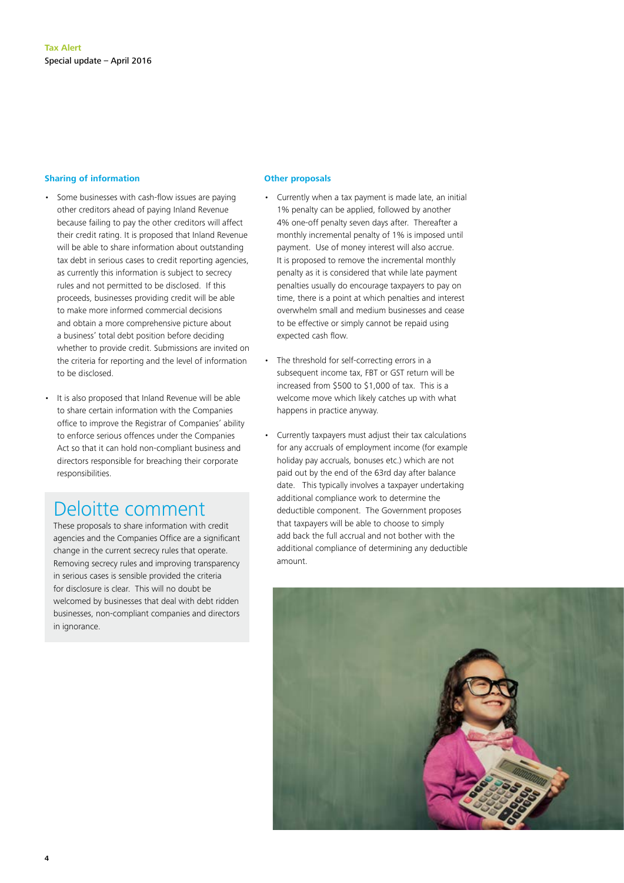#### **Sharing of information**

- Some businesses with cash-flow issues are paying other creditors ahead of paying Inland Revenue because failing to pay the other creditors will affect their credit rating. It is proposed that Inland Revenue will be able to share information about outstanding tax debt in serious cases to credit reporting agencies, as currently this information is subject to secrecy rules and not permitted to be disclosed. If this proceeds, businesses providing credit will be able to make more informed commercial decisions and obtain a more comprehensive picture about a business' total debt position before deciding whether to provide credit. Submissions are invited on the criteria for reporting and the level of information to be disclosed.
	- It is also proposed that Inland Revenue will be able to share certain information with the Companies office to improve the Registrar of Companies' ability to enforce serious offences under the Companies Act so that it can hold non-compliant business and directors responsible for breaching their corporate responsibilities.

# Deloitte comment

These proposals to share information with credit agencies and the Companies Office are a significant change in the current secrecy rules that operate. Removing secrecy rules and improving transparency in serious cases is sensible provided the criteria for disclosure is clear. This will no doubt be welcomed by businesses that deal with debt ridden businesses, non-compliant companies and directors in ignorance.

#### **Other proposals**

- Currently when a tax payment is made late, an initial 1% penalty can be applied, followed by another 4% one-off penalty seven days after. Thereafter a monthly incremental penalty of 1% is imposed until payment. Use of money interest will also accrue. It is proposed to remove the incremental monthly penalty as it is considered that while late payment penalties usually do encourage taxpayers to pay on time, there is a point at which penalties and interest overwhelm small and medium businesses and cease to be effective or simply cannot be repaid using expected cash flow.
- The threshold for self-correcting errors in a subsequent income tax, FBT or GST return will be increased from \$500 to \$1,000 of tax. This is a welcome move which likely catches up with what happens in practice anyway.
- Currently taxpayers must adjust their tax calculations for any accruals of employment income (for example holiday pay accruals, bonuses etc.) which are not paid out by the end of the 63rd day after balance date. This typically involves a taxpayer undertaking additional compliance work to determine the deductible component. The Government proposes that taxpayers will be able to choose to simply add back the full accrual and not bother with the additional compliance of determining any deductible amount.